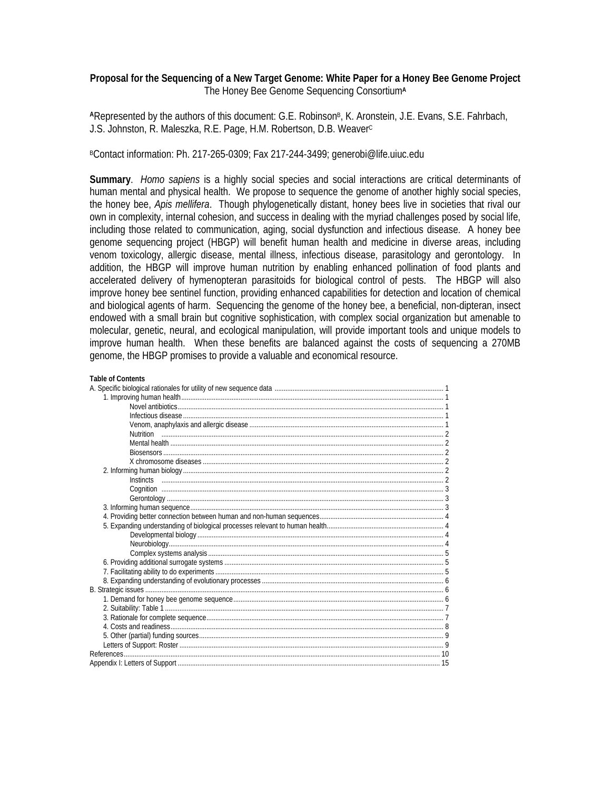# **Proposal for the Sequencing of a New Target Genome: White Paper for a Honey Bee Genome Project**  The Honey Bee Genome Sequencing Consortium**<sup>A</sup>**

ARepresented by the authors of this document: G.E. Robinson<sup>B</sup>, K. Aronstein, J.E. Evans, S.E. Fahrbach, J.S. Johnston, R. Maleszka, R.E. Page, H.M. Robertson, D.B. Weaver<sup>c</sup>

BContact information: Ph. 217-265-0309; Fax 217-244-3499; generobi@life.uiuc.edu

**Summary**. *Homo sapiens* is a highly social species and social interactions are critical determinants of human mental and physical health. We propose to sequence the genome of another highly social species, the honey bee, *Apis mellifera*. Though phylogenetically distant, honey bees live in societies that rival our own in complexity, internal cohesion, and success in dealing with the myriad challenges posed by social life, including those related to communication, aging, social dysfunction and infectious disease. A honey bee genome sequencing project (HBGP) will benefit human health and medicine in diverse areas, including venom toxicology, allergic disease, mental illness, infectious disease, parasitology and gerontology. In addition, the HBGP will improve human nutrition by enabling enhanced pollination of food plants and accelerated delivery of hymenopteran parasitoids for biological control of pests. The HBGP will also improve honey bee sentinel function, providing enhanced capabilities for detection and location of chemical and biological agents of harm. Sequencing the genome of the honey bee, a beneficial, non-dipteran, insect endowed with a small brain but cognitive sophistication, with complex social organization but amenable to molecular, genetic, neural, and ecological manipulation, will provide important tools and unique models to improve human health. When these benefits are balanced against the costs of sequencing a 270MB genome, the HBGP promises to provide a valuable and economical resource.

#### **Table of Contents**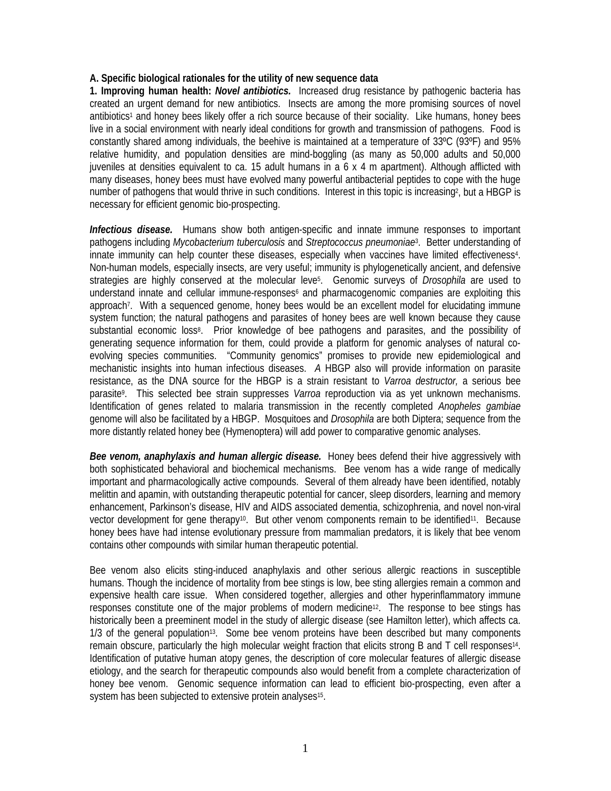# **A. Specific biological rationales for the utility of new sequence data**

**1. Improving human health:** *Novel antibiotics.* Increased drug resistance by pathogenic bacteria has created an urgent demand for new antibiotics. Insects are among the more promising sources of novel antibiotics1 and honey bees likely offer a rich source because of their sociality. Like humans, honey bees live in a social environment with nearly ideal conditions for growth and transmission of pathogens. Food is constantly shared among individuals, the beehive is maintained at a temperature of 33ºC (93ºF) and 95% relative humidity, and population densities are mind-boggling (as many as 50,000 adults and 50,000 juveniles at densities equivalent to ca. 15 adult humans in a 6 x 4 m apartment). Although afflicted with many diseases, honey bees must have evolved many powerful antibacterial peptides to cope with the huge number of pathogens that would thrive in such conditions. Interest in this topic is increasing?, but a HBGP is necessary for efficient genomic bio-prospecting.

*Infectious disease.* Humans show both antigen-specific and innate immune responses to important pathogens including *Mycobacterium tuberculosis* and *Streptococcus pneumoniae*3. Better understanding of innate immunity can help counter these diseases, especially when vaccines have limited effectiveness4. Non-human models, especially insects, are very useful; immunity is phylogenetically ancient, and defensive strategies are highly conserved at the molecular leve<sup>5</sup>. Genomic surveys of *Drosophila* are used to understand innate and cellular immune-responses<sup> $6$ </sup> and pharmacogenomic companies are exploiting this approach7. With a sequenced genome, honey bees would be an excellent model for elucidating immune system function; the natural pathogens and parasites of honey bees are well known because they cause substantial economic loss<sup>8</sup>. Prior knowledge of bee pathogens and parasites, and the possibility of generating sequence information for them, could provide a platform for genomic analyses of natural coevolving species communities. "Community genomics" promises to provide new epidemiological and mechanistic insights into human infectious diseases. *A* HBGP also will provide information on parasite resistance, as the DNA source for the HBGP is a strain resistant to *Varroa destructor,* a serious bee parasite9. This selected bee strain suppresses *Varroa* reproduction via as yet unknown mechanisms. Identification of genes related to malaria transmission in the recently completed *Anopheles gambiae* genome will also be facilitated by a HBGP. Mosquitoes and *Drosophila* are both Diptera; sequence from the more distantly related honey bee (Hymenoptera) will add power to comparative genomic analyses.

*Bee venom, anaphylaxis and human allergic disease.* Honey bees defend their hive aggressively with both sophisticated behavioral and biochemical mechanisms. Bee venom has a wide range of medically important and pharmacologically active compounds. Several of them already have been identified, notably melittin and apamin, with outstanding therapeutic potential for cancer, sleep disorders, learning and memory enhancement, Parkinson's disease, HIV and AIDS associated dementia, schizophrenia, and novel non-viral vector development for gene therapy10. But other venom components remain to be identified11. Because honey bees have had intense evolutionary pressure from mammalian predators, it is likely that bee venom contains other compounds with similar human therapeutic potential.

Bee venom also elicits sting-induced anaphylaxis and other serious allergic reactions in susceptible humans. Though the incidence of mortality from bee stings is low, bee sting allergies remain a common and expensive health care issue. When considered together, allergies and other hyperinflammatory immune responses constitute one of the major problems of modern medicine<sup>12</sup>. The response to bee stings has historically been a preeminent model in the study of allergic disease (see Hamilton letter), which affects ca. 1/3 of the general population<sup>13</sup>. Some bee venom proteins have been described but many components remain obscure, particularly the high molecular weight fraction that elicits strong B and T cell responses14. Identification of putative human atopy genes, the description of core molecular features of allergic disease etiology, and the search for therapeutic compounds also would benefit from a complete characterization of honey bee venom. Genomic sequence information can lead to efficient bio-prospecting, even after a system has been subjected to extensive protein analyses<sup>15</sup>.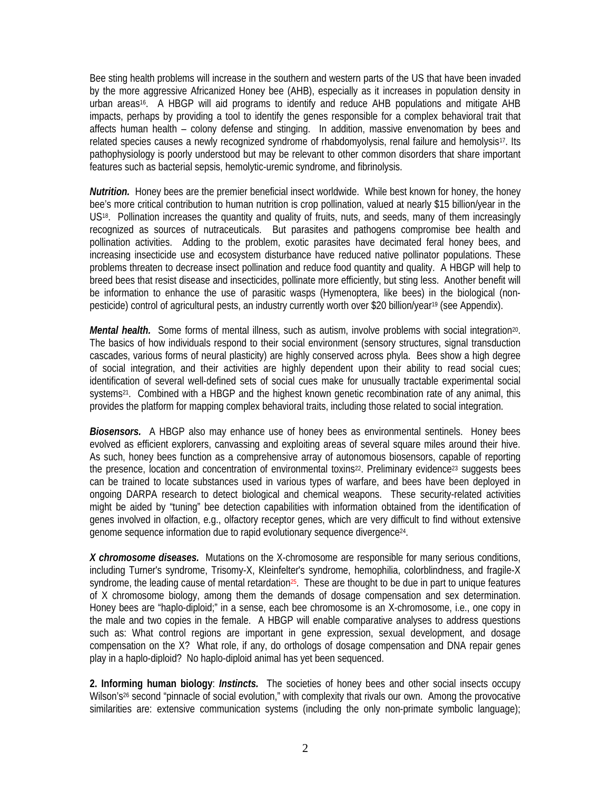Bee sting health problems will increase in the southern and western parts of the US that have been invaded by the more aggressive Africanized Honey bee (AHB), especially as it increases in population density in urban areas<sup>16</sup>. A HBGP will aid programs to identify and reduce AHB populations and mitigate AHB impacts, perhaps by providing a tool to identify the genes responsible for a complex behavioral trait that affects human health – colony defense and stinging. In addition, massive envenomation by bees and related species causes a newly recognized syndrome of rhabdomyolysis, renal failure and hemolysis<sup>17</sup>. Its pathophysiology is poorly understood but may be relevant to other common disorders that share important features such as bacterial sepsis, hemolytic-uremic syndrome, and fibrinolysis.

*Nutrition.* Honey bees are the premier beneficial insect worldwide. While best known for honey, the honey bee's more critical contribution to human nutrition is crop pollination, valued at nearly \$15 billion/year in the US<sup>18</sup>. Pollination increases the quantity and quality of fruits, nuts, and seeds, many of them increasingly recognized as sources of nutraceuticals. But parasites and pathogens compromise bee health and pollination activities. Adding to the problem, exotic parasites have decimated feral honey bees, and increasing insecticide use and ecosystem disturbance have reduced native pollinator populations. These problems threaten to decrease insect pollination and reduce food quantity and quality. A HBGP will help to breed bees that resist disease and insecticides, pollinate more efficiently, but sting less. Another benefit will be information to enhance the use of parasitic wasps (Hymenoptera, like bees) in the biological (nonpesticide) control of agricultural pests, an industry currently worth over \$20 billion/year19 (see Appendix).

*Mental health.* Some forms of mental illness, such as autism, involve problems with social integration<sup>20</sup>. The basics of how individuals respond to their social environment (sensory structures, signal transduction cascades, various forms of neural plasticity) are highly conserved across phyla. Bees show a high degree of social integration, and their activities are highly dependent upon their ability to read social cues; identification of several well-defined sets of social cues make for unusually tractable experimental social systems<sup>21</sup>. Combined with a HBGP and the highest known genetic recombination rate of any animal, this provides the platform for mapping complex behavioral traits, including those related to social integration.

*Biosensors.* A HBGP also may enhance use of honey bees as environmental sentinels. Honey bees evolved as efficient explorers, canvassing and exploiting areas of several square miles around their hive. As such, honey bees function as a comprehensive array of autonomous biosensors, capable of reporting the presence, location and concentration of environmental toxins<sup>22</sup>. Preliminary evidence<sup>23</sup> suggests bees can be trained to locate substances used in various types of warfare, and bees have been deployed in ongoing DARPA research to detect biological and chemical weapons. These security-related activities might be aided by "tuning" bee detection capabilities with information obtained from the identification of genes involved in olfaction, e.g., olfactory receptor genes, which are very difficult to find without extensive genome sequence information due to rapid evolutionary sequence divergence24.

*X chromosome diseases.* Mutations on the X-chromosome are responsible for many serious conditions, including Turner's syndrome, Trisomy-X, Kleinfelter's syndrome, hemophilia, colorblindness, and fragile-X syndrome, the leading cause of mental retardation<sup>25</sup>. These are thought to be due in part to unique features of X chromosome biology, among them the demands of dosage compensation and sex determination. Honey bees are "haplo-diploid;" in a sense, each bee chromosome is an X-chromosome, i.e., one copy in the male and two copies in the female. A HBGP will enable comparative analyses to address questions such as: What control regions are important in gene expression, sexual development, and dosage compensation on the X? What role, if any, do orthologs of dosage compensation and DNA repair genes play in a haplo-diploid? No haplo-diploid animal has yet been sequenced.

**2. Informing human biology**: *Instincts.* The societies of honey bees and other social insects occupy Wilson's<sup>26</sup> second "pinnacle of social evolution," with complexity that rivals our own. Among the provocative similarities are: extensive communication systems (including the only non-primate symbolic language);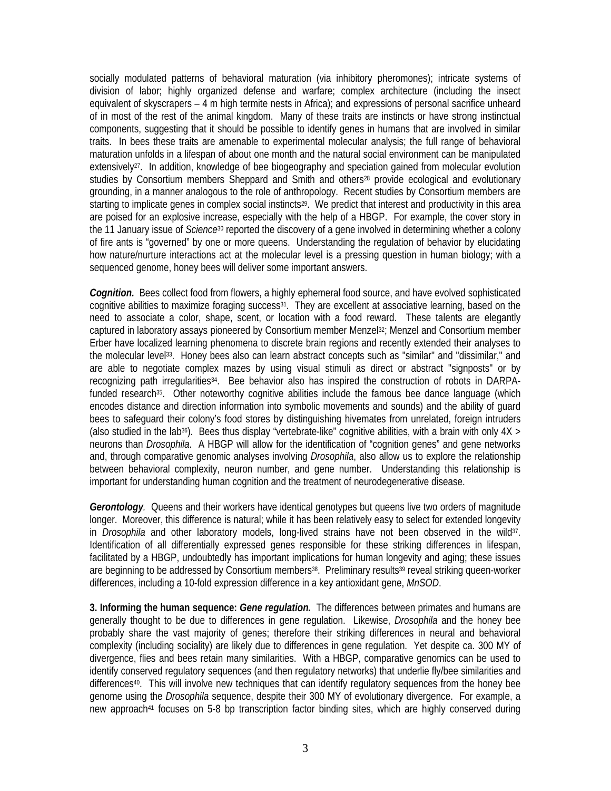socially modulated patterns of behavioral maturation (via inhibitory pheromones); intricate systems of division of labor; highly organized defense and warfare; complex architecture (including the insect equivalent of skyscrapers – 4 m high termite nests in Africa); and expressions of personal sacrifice unheard of in most of the rest of the animal kingdom. Many of these traits are instincts or have strong instinctual components, suggesting that it should be possible to identify genes in humans that are involved in similar traits. In bees these traits are amenable to experimental molecular analysis; the full range of behavioral maturation unfolds in a lifespan of about one month and the natural social environment can be manipulated extensively<sup>27</sup>. In addition, knowledge of bee biogeography and speciation gained from molecular evolution studies by Consortium members Sheppard and Smith and others<sup>28</sup> provide ecological and evolutionary grounding, in a manner analogous to the role of anthropology. Recent studies by Consortium members are starting to implicate genes in complex social instincts<sup>29</sup>. We predict that interest and productivity in this area are poised for an explosive increase, especially with the help of a HBGP. For example, the cover story in the 11 January issue of *Science*30 reported the discovery of a gene involved in determining whether a colony of fire ants is "governed" by one or more queens. Understanding the regulation of behavior by elucidating how nature/nurture interactions act at the molecular level is a pressing question in human biology; with a sequenced genome, honey bees will deliver some important answers.

*Cognition.* Bees collect food from flowers, a highly ephemeral food source, and have evolved sophisticated cognitive abilities to maximize foraging success<sup>31</sup>. They are excellent at associative learning, based on the need to associate a color, shape, scent, or location with a food reward. These talents are elegantly captured in laboratory assays pioneered by Consortium member Menzel<sup>32</sup>; Menzel and Consortium member Erber have localized learning phenomena to discrete brain regions and recently extended their analyses to the molecular level33. Honey bees also can learn abstract concepts such as "similar" and "dissimilar," and are able to negotiate complex mazes by using visual stimuli as direct or abstract "signposts" or by recognizing path irregularities34. Bee behavior also has inspired the construction of robots in DARPAfunded research<sup>35</sup>. Other noteworthy cognitive abilities include the famous bee dance language (which encodes distance and direction information into symbolic movements and sounds) and the ability of guard bees to safeguard their colony's food stores by distinguishing hivemates from unrelated, foreign intruders (also studied in the lab<sup>36</sup>). Bees thus display "vertebrate-like" cognitive abilities, with a brain with only  $4X >$ neurons than *Drosophila*. A HBGP will allow for the identification of "cognition genes" and gene networks and, through comparative genomic analyses involving *Drosophila*, also allow us to explore the relationship between behavioral complexity, neuron number, and gene number. Understanding this relationship is important for understanding human cognition and the treatment of neurodegenerative disease.

*Gerontology*. Queens and their workers have identical genotypes but queens live two orders of magnitude longer. Moreover, this difference is natural; while it has been relatively easy to select for extended longevity in *Drosophila* and other laboratory models, long-lived strains have not been observed in the wild37. Identification of all differentially expressed genes responsible for these striking differences in lifespan, facilitated by a HBGP, undoubtedly has important implications for human longevity and aging; these issues are beginning to be addressed by Consortium members<sup>38</sup>. Preliminary results<sup>39</sup> reveal striking queen-worker differences, including a 10-fold expression difference in a key antioxidant gene, *MnSOD*.

**3. Informing the human sequence:** *Gene regulation.* The differences between primates and humans are generally thought to be due to differences in gene regulation. Likewise, *Drosophila* and the honey bee probably share the vast majority of genes; therefore their striking differences in neural and behavioral complexity (including sociality) are likely due to differences in gene regulation. Yet despite ca. 300 MY of divergence, flies and bees retain many similarities. With a HBGP, comparative genomics can be used to identify conserved regulatory sequences (and then regulatory networks) that underlie fly/bee similarities and differences<sup>40</sup>. This will involve new techniques that can identify regulatory sequences from the honey bee genome using the *Drosophila* sequence, despite their 300 MY of evolutionary divergence. For example, a new approach<sup>41</sup> focuses on 5-8 bp transcription factor binding sites, which are highly conserved during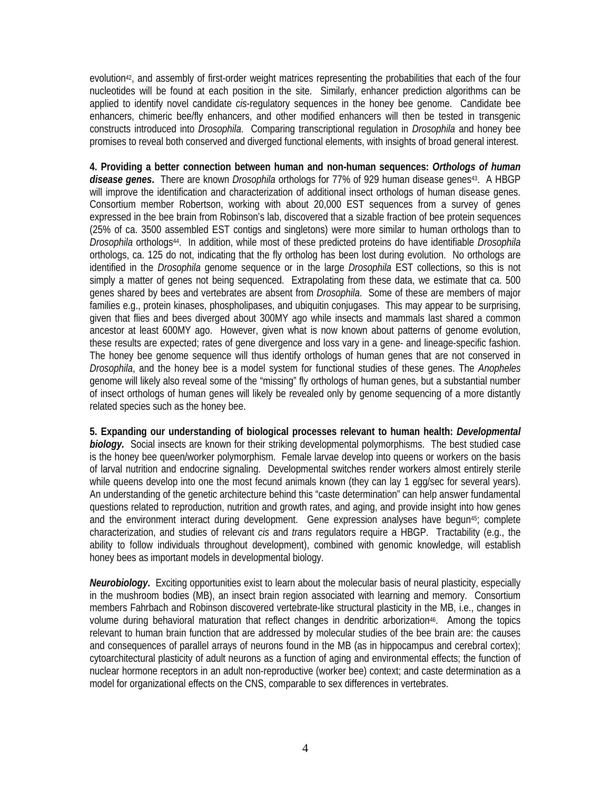evolution42, and assembly of first-order weight matrices representing the probabilities that each of the four nucleotides will be found at each position in the site. Similarly, enhancer prediction algorithms can be applied to identify novel candidate *cis*-regulatory sequences in the honey bee genome. Candidate bee enhancers, chimeric bee/fly enhancers, and other modified enhancers will then be tested in transgenic constructs introduced into *Drosophila*. Comparing transcriptional regulation in *Drosophila* and honey bee promises to reveal both conserved and diverged functional elements, with insights of broad general interest.

**4. Providing a better connection between human and non-human sequences:** *Orthologs of human disease genes***.** There are known *Drosophila* orthologs for 77% of 929 human disease genes43. A HBGP will improve the identification and characterization of additional insect orthologs of human disease genes. Consortium member Robertson, working with about 20,000 EST sequences from a survey of genes expressed in the bee brain from Robinson's lab, discovered that a sizable fraction of bee protein sequences (25% of ca. 3500 assembled EST contigs and singletons) were more similar to human orthologs than to *Drosophila* orthologs44. In addition, while most of these predicted proteins do have identifiable *Drosophila* orthologs, ca. 125 do not, indicating that the fly ortholog has been lost during evolution. No orthologs are identified in the *Drosophila* genome sequence or in the large *Drosophila* EST collections, so this is not simply a matter of genes not being sequenced. Extrapolating from these data, we estimate that ca. 500 genes shared by bees and vertebrates are absent from *Drosophila*. Some of these are members of major families e.g., protein kinases, phospholipases, and ubiquitin conjugases. This may appear to be surprising, given that flies and bees diverged about 300MY ago while insects and mammals last shared a common ancestor at least 600MY ago. However, given what is now known about patterns of genome evolution, these results are expected; rates of gene divergence and loss vary in a gene- and lineage-specific fashion. The honey bee genome sequence will thus identify orthologs of human genes that are not conserved in *Drosophila*, and the honey bee is a model system for functional studies of these genes. The *Anopheles*  genome will likely also reveal some of the "missing" fly orthologs of human genes, but a substantial number of insect orthologs of human genes will likely be revealed only by genome sequencing of a more distantly related species such as the honey bee.

**5. Expanding our understanding of biological processes relevant to human health:** *Developmental biology.* Social insects are known for their striking developmental polymorphisms. The best studied case is the honey bee queen/worker polymorphism. Female larvae develop into queens or workers on the basis of larval nutrition and endocrine signaling. Developmental switches render workers almost entirely sterile while queens develop into one the most fecund animals known (they can lay 1 egg/sec for several years). An understanding of the genetic architecture behind this "caste determination" can help answer fundamental questions related to reproduction, nutrition and growth rates, and aging, and provide insight into how genes and the environment interact during development. Gene expression analyses have begun45; complete characterization, and studies of relevant *cis* and *trans* regulators require a HBGP. Tractability (e.g., the ability to follow individuals throughout development), combined with genomic knowledge, will establish honey bees as important models in developmental biology.

*Neurobiology***.** Exciting opportunities exist to learn about the molecular basis of neural plasticity, especially in the mushroom bodies (MB), an insect brain region associated with learning and memory. Consortium members Fahrbach and Robinson discovered vertebrate-like structural plasticity in the MB, i.e., changes in volume during behavioral maturation that reflect changes in dendritic arborization<sup>46</sup>. Among the topics relevant to human brain function that are addressed by molecular studies of the bee brain are: the causes and consequences of parallel arrays of neurons found in the MB (as in hippocampus and cerebral cortex); cytoarchitectural plasticity of adult neurons as a function of aging and environmental effects; the function of nuclear hormone receptors in an adult non-reproductive (worker bee) context; and caste determination as a model for organizational effects on the CNS, comparable to sex differences in vertebrates.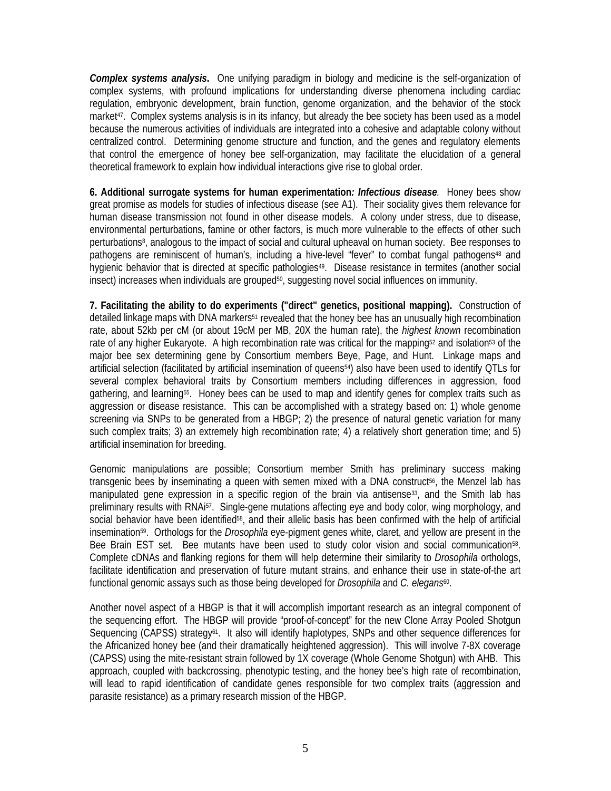*Complex systems analysis***.** One unifying paradigm in biology and medicine is the self-organization of complex systems, with profound implications for understanding diverse phenomena including cardiac regulation, embryonic development, brain function, genome organization, and the behavior of the stock market<sup>47</sup>. Complex systems analysis is in its infancy, but already the bee society has been used as a model because the numerous activities of individuals are integrated into a cohesive and adaptable colony without centralized control. Determining genome structure and function, and the genes and regulatory elements that control the emergence of honey bee self-organization, may facilitate the elucidation of a general theoretical framework to explain how individual interactions give rise to global order.

**6. Additional surrogate systems for human experimentation***: Infectious disease.*Honey bees show great promise as models for studies of infectious disease (see A1). Their sociality gives them relevance for human disease transmission not found in other disease models. A colony under stress, due to disease, environmental perturbations, famine or other factors, is much more vulnerable to the effects of other such perturbations<sup>8</sup>, analogous to the impact of social and cultural upheaval on human society. Bee responses to pathogens are reminiscent of human's, including a hive-level "fever" to combat fungal pathogens<sup>48</sup> and hygienic behavior that is directed at specific pathologies<sup>49</sup>. Disease resistance in termites (another social insect) increases when individuals are grouped<sup>50</sup>, suggesting novel social influences on immunity.

**7. Facilitating the ability to do experiments ("direct" genetics, positional mapping).** Construction of detailed linkage maps with DNA markers<sup>51</sup> revealed that the honey bee has an unusually high recombination rate, about 52kb per cM (or about 19cM per MB, 20X the human rate), the *highest known* recombination rate of any higher Eukaryote. A high recombination rate was critical for the mapping<sup>52</sup> and isolation<sup>53</sup> of the major bee sex determining gene by Consortium members Beye, Page, and Hunt. Linkage maps and artificial selection (facilitated by artificial insemination of queens<sup>54</sup>) also have been used to identify QTLs for several complex behavioral traits by Consortium members including differences in aggression, food gathering, and learning55. Honey bees can be used to map and identify genes for complex traits such as aggression or disease resistance. This can be accomplished with a strategy based on: 1) whole genome screening via SNPs to be generated from a HBGP; 2) the presence of natural genetic variation for many such complex traits; 3) an extremely high recombination rate; 4) a relatively short generation time; and 5) artificial insemination for breeding.

Genomic manipulations are possible; Consortium member Smith has preliminary success making transgenic bees by inseminating a queen with semen mixed with a DNA construct56, the Menzel lab has manipulated gene expression in a specific region of the brain via antisense<sup>33</sup>, and the Smith lab has preliminary results with RNA<sup>i57</sup>. Single-gene mutations affecting eye and body color, wing morphology, and social behavior have been identified<sup>58</sup>, and their allelic basis has been confirmed with the help of artificial insemination59. Orthologs for the *Drosophila* eye-pigment genes white, claret, and yellow are present in the Bee Brain EST set. Bee mutants have been used to study color vision and social communication58. Complete cDNAs and flanking regions for them will help determine their similarity to *Drosophila* orthologs, facilitate identification and preservation of future mutant strains, and enhance their use in state-of-the art functional genomic assays such as those being developed for *Drosophila* and *C. elegans*60.

Another novel aspect of a HBGP is that it will accomplish important research as an integral component of the sequencing effort. The HBGP will provide "proof-of-concept" for the new Clone Array Pooled Shotgun Sequencing (CAPSS) strategy<sup>61</sup>. It also will identify haplotypes, SNPs and other sequence differences for the Africanized honey bee (and their dramatically heightened aggression). This will involve 7-8X coverage (CAPSS) using the mite-resistant strain followed by 1X coverage (Whole Genome Shotgun) with AHB. This approach, coupled with backcrossing, phenotypic testing, and the honey bee's high rate of recombination, will lead to rapid identification of candidate genes responsible for two complex traits (aggression and parasite resistance) as a primary research mission of the HBGP.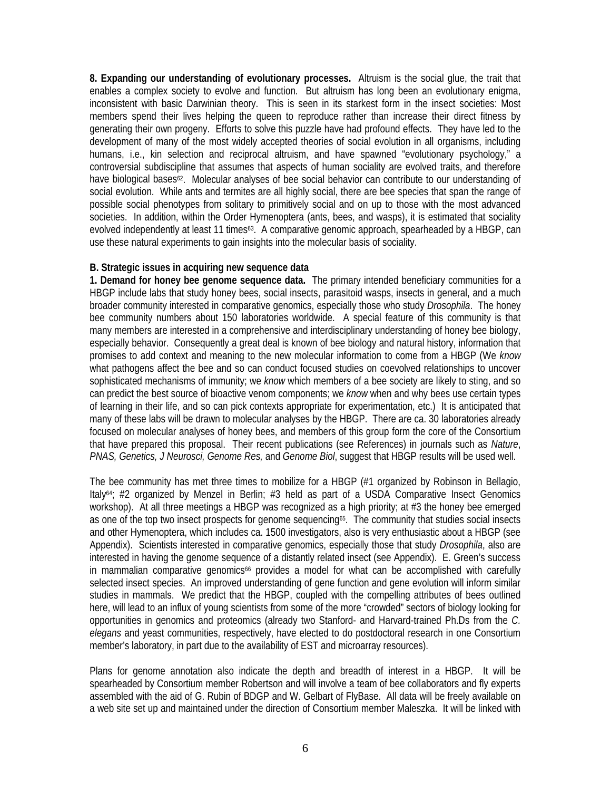**8. Expanding our understanding of evolutionary processes.** Altruism is the social glue, the trait that enables a complex society to evolve and function. But altruism has long been an evolutionary enigma, inconsistent with basic Darwinian theory. This is seen in its starkest form in the insect societies: Most members spend their lives helping the queen to reproduce rather than increase their direct fitness by generating their own progeny. Efforts to solve this puzzle have had profound effects. They have led to the development of many of the most widely accepted theories of social evolution in all organisms, including humans, i.e., kin selection and reciprocal altruism, and have spawned "evolutionary psychology," a controversial subdiscipline that assumes that aspects of human sociality are evolved traits, and therefore have biological bases<sup>62</sup>. Molecular analyses of bee social behavior can contribute to our understanding of social evolution. While ants and termites are all highly social, there are bee species that span the range of possible social phenotypes from solitary to primitively social and on up to those with the most advanced societies. In addition, within the Order Hymenoptera (ants, bees, and wasps), it is estimated that sociality evolved independently at least 11 times<sup>63</sup>. A comparative genomic approach, spearheaded by a HBGP, can use these natural experiments to gain insights into the molecular basis of sociality.

# **B. Strategic issues in acquiring new sequence data**

**1. Demand for honey bee genome sequence data.** The primary intended beneficiary communities for a HBGP include labs that study honey bees, social insects, parasitoid wasps, insects in general, and a much broader community interested in comparative genomics, especially those who study *Drosophila*. The honey bee community numbers about 150 laboratories worldwide. A special feature of this community is that many members are interested in a comprehensive and interdisciplinary understanding of honey bee biology, especially behavior. Consequently a great deal is known of bee biology and natural history, information that promises to add context and meaning to the new molecular information to come from a HBGP (We *know* what pathogens affect the bee and so can conduct focused studies on coevolved relationships to uncover sophisticated mechanisms of immunity; we *know* which members of a bee society are likely to sting, and so can predict the best source of bioactive venom components; we *know* when and why bees use certain types of learning in their life, and so can pick contexts appropriate for experimentation, etc.) It is anticipated that many of these labs will be drawn to molecular analyses by the HBGP. There are ca. 30 laboratories already focused on molecular analyses of honey bees, and members of this group form the core of the Consortium that have prepared this proposal. Their recent publications (see References) in journals such as *Nature*, *PNAS, Genetics, J Neurosci, Genome Res,* and *Genome Biol*, suggest that HBGP results will be used well.

The bee community has met three times to mobilize for a HBGP (#1 organized by Robinson in Bellagio, Italy64; #2 organized by Menzel in Berlin; #3 held as part of a USDA Comparative Insect Genomics workshop). At all three meetings a HBGP was recognized as a high priority; at #3 the honey bee emerged as one of the top two insect prospects for genome sequencing<sup>65</sup>. The community that studies social insects and other Hymenoptera, which includes ca. 1500 investigators, also is very enthusiastic about a HBGP (see Appendix). Scientists interested in comparative genomics, especially those that study *Drosophila*, also are interested in having the genome sequence of a distantly related insect (see Appendix). E. Green's success in mammalian comparative genomics<sup>66</sup> provides a model for what can be accomplished with carefully selected insect species. An improved understanding of gene function and gene evolution will inform similar studies in mammals. We predict that the HBGP, coupled with the compelling attributes of bees outlined here, will lead to an influx of young scientists from some of the more "crowded" sectors of biology looking for opportunities in genomics and proteomics (already two Stanford- and Harvard-trained Ph.Ds from the *C. elegans* and yeast communities, respectively, have elected to do postdoctoral research in one Consortium member's laboratory, in part due to the availability of EST and microarray resources).

Plans for genome annotation also indicate the depth and breadth of interest in a HBGP. It will be spearheaded by Consortium member Robertson and will involve a team of bee collaborators and fly experts assembled with the aid of G. Rubin of BDGP and W. Gelbart of FlyBase. All data will be freely available on a web site set up and maintained under the direction of Consortium member Maleszka. It will be linked with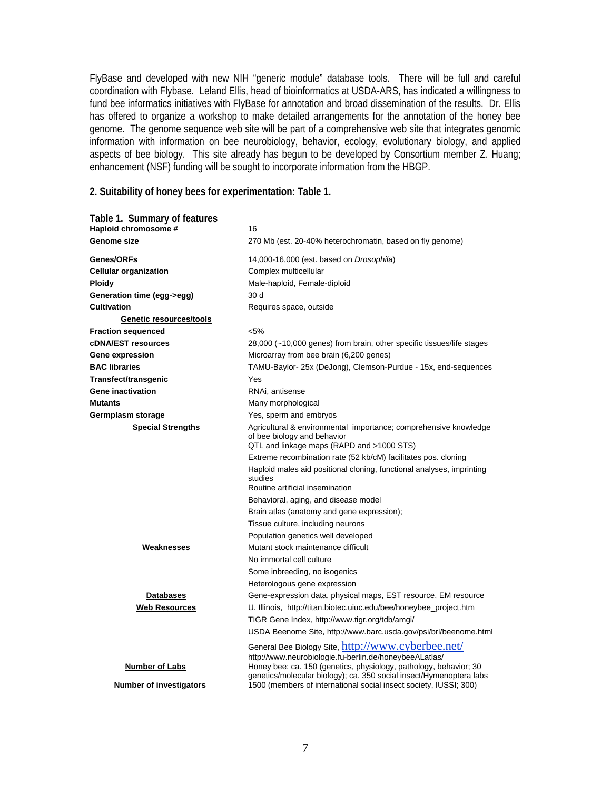FlyBase and developed with new NIH "generic module" database tools. There will be full and careful coordination with Flybase. Leland Ellis, head of bioinformatics at USDA-ARS, has indicated a willingness to fund bee informatics initiatives with FlyBase for annotation and broad dissemination of the results. Dr. Ellis has offered to organize a workshop to make detailed arrangements for the annotation of the honey bee genome. The genome sequence web site will be part of a comprehensive web site that integrates genomic information with information on bee neurobiology, behavior, ecology, evolutionary biology, and applied aspects of bee biology. This site already has begun to be developed by Consortium member Z. Huang; enhancement (NSF) funding will be sought to incorporate information from the HBGP.

#### **2. Suitability of honey bees for experimentation: Table 1.**

| Table 1. Summary of features<br>Haploid chromosome #<br><b>Genome size</b> | 16<br>270 Mb (est. 20-40% heterochromatin, based on fly genome)                                                                              |
|----------------------------------------------------------------------------|----------------------------------------------------------------------------------------------------------------------------------------------|
| Genes/ORFs                                                                 | 14,000-16,000 (est. based on <i>Drosophila</i> )                                                                                             |
| <b>Cellular organization</b>                                               | Complex multicellular                                                                                                                        |
| <b>Ploidy</b>                                                              | Male-haploid, Female-diploid                                                                                                                 |
| Generation time (egg->egg)                                                 | 30 d                                                                                                                                         |
| <b>Cultivation</b>                                                         | Requires space, outside                                                                                                                      |
| Genetic resources/tools                                                    |                                                                                                                                              |
| <b>Fraction sequenced</b>                                                  | $< 5\%$                                                                                                                                      |
| <b>cDNA/EST resources</b>                                                  | 28,000 (~10,000 genes) from brain, other specific tissues/life stages                                                                        |
| Gene expression                                                            | Microarray from bee brain (6,200 genes)                                                                                                      |
| <b>BAC libraries</b>                                                       | TAMU-Baylor- 25x (DeJong), Clemson-Purdue - 15x, end-sequences                                                                               |
| Transfect/transgenic                                                       | Yes                                                                                                                                          |
| <b>Gene inactivation</b>                                                   | RNAi, antisense                                                                                                                              |
| <b>Mutants</b>                                                             | Many morphological                                                                                                                           |
| Germplasm storage                                                          | Yes, sperm and embryos                                                                                                                       |
| <b>Special Strengths</b>                                                   | Agricultural & environmental importance; comprehensive knowledge<br>of bee biology and behavior<br>QTL and linkage maps (RAPD and >1000 STS) |
|                                                                            | Extreme recombination rate (52 kb/cM) facilitates pos. cloning                                                                               |
|                                                                            | Haploid males aid positional cloning, functional analyses, imprinting<br>studies<br>Routine artificial insemination                          |
|                                                                            | Behavioral, aging, and disease model                                                                                                         |
|                                                                            | Brain atlas (anatomy and gene expression);                                                                                                   |
|                                                                            | Tissue culture, including neurons                                                                                                            |
|                                                                            | Population genetics well developed                                                                                                           |
| Weaknesses                                                                 | Mutant stock maintenance difficult                                                                                                           |
|                                                                            | No immortal cell culture                                                                                                                     |
|                                                                            | Some inbreeding, no isogenics                                                                                                                |
|                                                                            | Heterologous gene expression                                                                                                                 |
| <b>Databases</b>                                                           | Gene-expression data, physical maps, EST resource, EM resource                                                                               |
| <b>Web Resources</b>                                                       | U. Illinois, http://titan.biotec.uiuc.edu/bee/honeybee_project.htm                                                                           |
|                                                                            | TIGR Gene Index, http://www.tigr.org/tdb/amgi/                                                                                               |
|                                                                            | USDA Beenome Site, http://www.barc.usda.gov/psi/brl/beenome.html                                                                             |
|                                                                            | General Bee Biology Site, http://www.cyberbee.net/<br>http://www.neurobiologie.fu-berlin.de/honeybeeALatlas/                                 |
| <b>Number of Labs</b>                                                      | Honey bee: ca. 150 (genetics, physiology, pathology, behavior; 30<br>genetics/molecular biology); ca. 350 social insect/Hymenoptera labs     |
| <b>Number of investigators</b>                                             | 1500 (members of international social insect society, IUSSI; 300)                                                                            |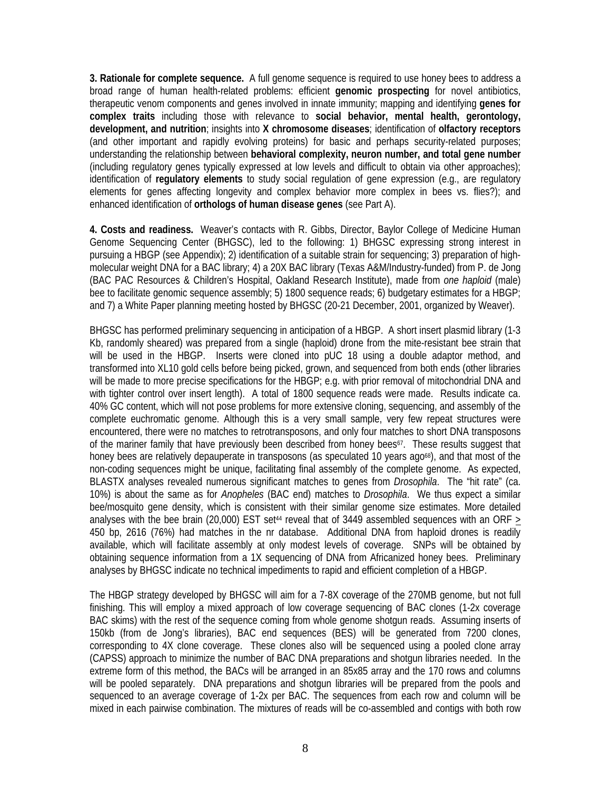**3. Rationale for complete sequence.** A full genome sequence is required to use honey bees to address a broad range of human health-related problems: efficient **genomic prospecting** for novel antibiotics, therapeutic venom components and genes involved in innate immunity; mapping and identifying **genes for complex traits** including those with relevance to **social behavior, mental health, gerontology, development, and nutrition**; insights into **X chromosome diseases**; identification of **olfactory receptors** (and other important and rapidly evolving proteins) for basic and perhaps security-related purposes; understanding the relationship between **behavioral complexity, neuron number, and total gene number**  (including regulatory genes typically expressed at low levels and difficult to obtain via other approaches); identification of **regulatory elements** to study social regulation of gene expression (e.g., are regulatory elements for genes affecting longevity and complex behavior more complex in bees vs. flies?); and enhanced identification of **orthologs of human disease genes** (see Part A).

**4. Costs and readiness.** Weaver's contacts with R. Gibbs, Director, Baylor College of Medicine Human Genome Sequencing Center (BHGSC), led to the following: 1) BHGSC expressing strong interest in pursuing a HBGP (see Appendix); 2) identification of a suitable strain for sequencing; 3) preparation of highmolecular weight DNA for a BAC library; 4) a 20X BAC library (Texas A&M/Industry-funded) from P. de Jong (BAC PAC Resources & Children's Hospital, Oakland Research Institute), made from *one haploid* (male) bee to facilitate genomic sequence assembly; 5) 1800 sequence reads; 6) budgetary estimates for a HBGP; and 7) a White Paper planning meeting hosted by BHGSC (20-21 December, 2001, organized by Weaver).

BHGSC has performed preliminary sequencing in anticipation of a HBGP. A short insert plasmid library (1-3 Kb, randomly sheared) was prepared from a single (haploid) drone from the mite-resistant bee strain that will be used in the HBGP. Inserts were cloned into pUC 18 using a double adaptor method, and transformed into XL10 gold cells before being picked, grown, and sequenced from both ends (other libraries will be made to more precise specifications for the HBGP; e.g. with prior removal of mitochondrial DNA and with tighter control over insert length). A total of 1800 sequence reads were made. Results indicate ca. 40% GC content, which will not pose problems for more extensive cloning, sequencing, and assembly of the complete euchromatic genome. Although this is a very small sample, very few repeat structures were encountered, there were no matches to retrotransposons, and only four matches to short DNA transposons of the mariner family that have previously been described from honey bees<sup>67</sup>. These results suggest that honey bees are relatively depauperate in transposons (as speculated 10 years ago<sup>68</sup>), and that most of the non-coding sequences might be unique, facilitating final assembly of the complete genome. As expected, BLASTX analyses revealed numerous significant matches to genes from *Drosophila*. The "hit rate" (ca. 10%) is about the same as for *Anopheles* (BAC end) matches to *Drosophila*. We thus expect a similar bee/mosquito gene density, which is consistent with their similar genome size estimates. More detailed analyses with the bee brain (20,000) EST set<sup>44</sup> reveal that of 3449 assembled sequences with an ORF  $>$ 450 bp, 2616 (76%) had matches in the nr database. Additional DNA from haploid drones is readily available, which will facilitate assembly at only modest levels of coverage. SNPs will be obtained by obtaining sequence information from a 1X sequencing of DNA from Africanized honey bees. Preliminary analyses by BHGSC indicate no technical impediments to rapid and efficient completion of a HBGP.

The HBGP strategy developed by BHGSC will aim for a 7-8X coverage of the 270MB genome, but not full finishing. This will employ a mixed approach of low coverage sequencing of BAC clones (1-2x coverage BAC skims) with the rest of the sequence coming from whole genome shotgun reads. Assuming inserts of 150kb (from de Jong's libraries), BAC end sequences (BES) will be generated from 7200 clones, corresponding to 4X clone coverage. These clones also will be sequenced using a pooled clone array (CAPSS) approach to minimize the number of BAC DNA preparations and shotgun libraries needed. In the extreme form of this method, the BACs will be arranged in an 85x85 array and the 170 rows and columns will be pooled separately. DNA preparations and shotgun libraries will be prepared from the pools and sequenced to an average coverage of 1-2x per BAC. The sequences from each row and column will be mixed in each pairwise combination. The mixtures of reads will be co-assembled and contigs with both row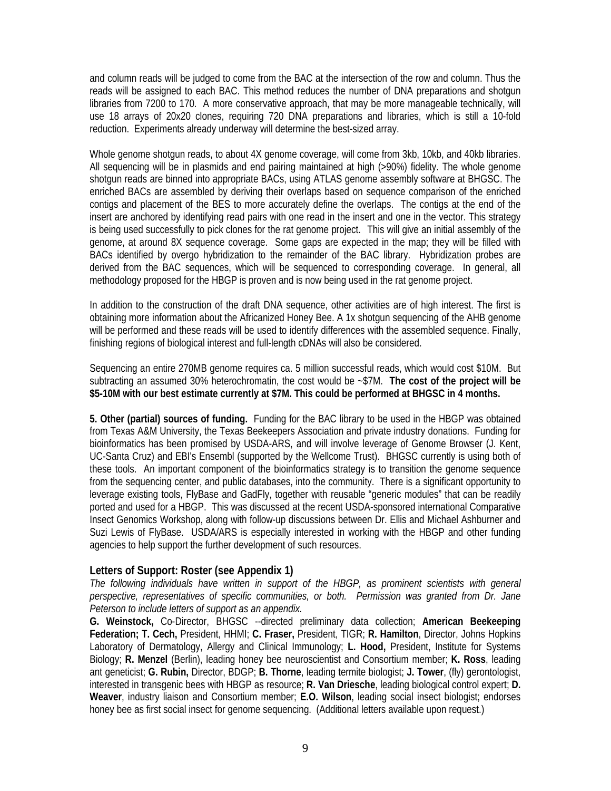and column reads will be judged to come from the BAC at the intersection of the row and column. Thus the reads will be assigned to each BAC. This method reduces the number of DNA preparations and shotgun libraries from 7200 to 170. A more conservative approach, that may be more manageable technically, will use 18 arrays of 20x20 clones, requiring 720 DNA preparations and libraries, which is still a 10-fold reduction. Experiments already underway will determine the best-sized array.

Whole genome shotgun reads, to about 4X genome coverage, will come from 3kb, 10kb, and 40kb libraries. All sequencing will be in plasmids and end pairing maintained at high (>90%) fidelity. The whole genome shotgun reads are binned into appropriate BACs, using ATLAS genome assembly software at BHGSC. The enriched BACs are assembled by deriving their overlaps based on sequence comparison of the enriched contigs and placement of the BES to more accurately define the overlaps. The contigs at the end of the insert are anchored by identifying read pairs with one read in the insert and one in the vector. This strategy is being used successfully to pick clones for the rat genome project.This will give an initial assembly of the genome, at around 8X sequence coverage. Some gaps are expected in the map; they will be filled with BACs identified by overgo hybridization to the remainder of the BAC library. Hybridization probes are derived from the BAC sequences, which will be sequenced to corresponding coverage. In general, all methodology proposed for the HBGP is proven and is now being used in the rat genome project.

In addition to the construction of the draft DNA sequence, other activities are of high interest. The first is obtaining more information about the Africanized Honey Bee. A 1x shotgun sequencing of the AHB genome will be performed and these reads will be used to identify differences with the assembled sequence. Finally, finishing regions of biological interest and full-length cDNAs will also be considered.

Sequencing an entire 270MB genome requires ca. 5 million successful reads, which would cost \$10M. But subtracting an assumed 30% heterochromatin, the cost would be ~\$7M. **The cost of the project will be \$5-10M with our best estimate currently at \$7M. This could be performed at BHGSC in 4 months.** 

**5. Other (partial) sources of funding.** Funding for the BAC library to be used in the HBGP was obtained from Texas A&M University, the Texas Beekeepers Association and private industry donations. Funding for bioinformatics has been promised by USDA-ARS, and will involve leverage of Genome Browser (J. Kent, UC-Santa Cruz) and EBI's Ensembl (supported by the Wellcome Trust). BHGSC currently is using both of these tools. An important component of the bioinformatics strategy is to transition the genome sequence from the sequencing center, and public databases, into the community. There is a significant opportunity to leverage existing tools, FlyBase and GadFly, together with reusable "generic modules" that can be readily ported and used for a HBGP. This was discussed at the recent USDA-sponsored international Comparative Insect Genomics Workshop, along with follow-up discussions between Dr. Ellis and Michael Ashburner and Suzi Lewis of FlyBase. USDA/ARS is especially interested in working with the HBGP and other funding agencies to help support the further development of such resources.

# **Letters of Support: Roster (see Appendix 1)**

*The following individuals have written in support of the HBGP, as prominent scientists with general perspective, representatives of specific communities, or both. Permission was granted from Dr. Jane Peterson to include letters of support as an appendix.* 

**G. Weinstock,** Co-Director, BHGSC --directed preliminary data collection; **American Beekeeping Federation; T. Cech,** President, HHMI; **C. Fraser,** President, TIGR; **R. Hamilton**, Director, Johns Hopkins Laboratory of Dermatology, Allergy and Clinical Immunology; **L. Hood,** President, Institute for Systems Biology; **R. Menzel** (Berlin), leading honey bee neuroscientist and Consortium member; **K. Ross**, leading ant geneticist; **G. Rubin,** Director, BDGP; **B. Thorne**, leading termite biologist; **J. Tower**, (fly) gerontologist, interested in transgenic bees with HBGP as resource; **R. Van Driesche**, leading biological control expert; **D. Weaver**, industry liaison and Consortium member; **E.O. Wilson**, leading social insect biologist; endorses honey bee as first social insect for genome sequencing. (Additional letters available upon request.)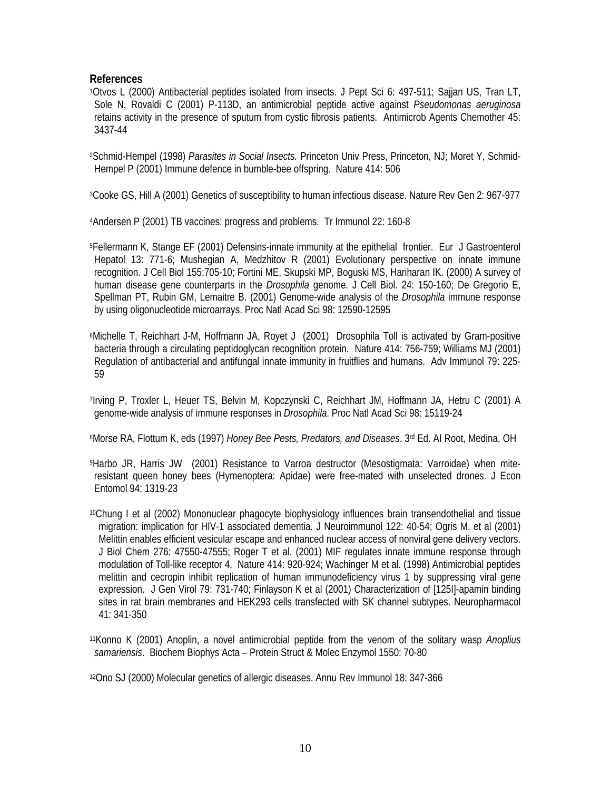# **References**

1Otvos L (2000) Antibacterial peptides isolated from insects. J Pept Sci 6: 497-511; Sajjan US, Tran LT, Sole N, Rovaldi C (2001) P-113D, an antimicrobial peptide active against *Pseudomonas aeruginosa* retains activity in the presence of sputum from cystic fibrosis patients. Antimicrob Agents Chemother 45: 3437-44

2Schmid-Hempel (1998) *Parasites in Social Insects.* Princeton Univ Press, Princeton, NJ; Moret Y, Schmid-Hempel P (2001) Immune defence in bumble-bee offspring. Nature 414: 506

3Cooke GS, Hill A (2001) Genetics of susceptibility to human infectious disease. Nature Rev Gen 2: 967-977

4Andersen P (2001) TB vaccines: progress and problems. Tr Immunol 22: 160-8

5Fellermann K, Stange EF (2001) Defensins-innate immunity at the epithelial frontier. Eur J Gastroenterol Hepatol 13: 771-6; Mushegian A, Medzhitov R (2001) Evolutionary perspective on innate immune recognition. J Cell Biol 155:705-10; Fortini ME, Skupski MP, Boguski MS, Hariharan IK. (2000) A survey of human disease gene counterparts in the *Drosophila* genome. J Cell Biol. 24: 150-160; De Gregorio E, Spellman PT, Rubin GM, Lemaitre B. (2001) Genome-wide analysis of the *Drosophila* immune response by using oligonucleotide microarrays. Proc Natl Acad Sci 98: 12590-12595

6Michelle T, Reichhart J-M, Hoffmann JA, Royet J (2001) Drosophila Toll is activated by Gram-positive bacteria through a circulating peptidoglycan recognition protein. Nature 414: 756-759; Williams MJ (2001) Regulation of antibacterial and antifungal innate immunity in fruitflies and humans. Adv Immunol 79: 225- 59

7Irving P, Troxler L, Heuer TS, Belvin M, Kopczynski C, Reichhart JM, Hoffmann JA, Hetru C (2001) A genome-wide analysis of immune responses in *Drosophila*. Proc Natl Acad Sci 98: 15119-24

8Morse RA, Flottum K, eds (1997) *Honey Bee Pests, Predators, and Diseases*. 3<sup>rd</sup> Ed. Al Root, Medina, OH

9Harbo JR, Harris JW (2001) Resistance to Varroa destructor (Mesostigmata: Varroidae) when miteresistant queen honey bees (Hymenoptera: Apidae) were free-mated with unselected drones. J Econ Entomol 94: 1319-23

10Chung I et al (2002) Mononuclear phagocyte biophysiology influences brain transendothelial and tissue migration: implication for HIV-1 associated dementia. J Neuroimmunol 122: 40-54; Ogris M. et al (2001) Melittin enables efficient vesicular escape and enhanced nuclear access of nonviral gene delivery vectors. J Biol Chem 276: 47550-47555; Roger T et al. (2001) MIF regulates innate immune response through modulation of Toll-like receptor 4. Nature 414: 920-924; Wachinger M et al. (1998) Antimicrobial peptides melittin and cecropin inhibit replication of human immunodeficiency virus 1 by suppressing viral gene expression. J Gen Virol 79: 731-740; Finlayson K et al (2001) Characterization of [125I]-apamin binding sites in rat brain membranes and HEK293 cells transfected with SK channel subtypes. Neuropharmacol 41: 341-350

11Konno K (2001) Anoplin, a novel antimicrobial peptide from the venom of the solitary wasp *Anoplius samariensis*. Biochem Biophys Acta – Protein Struct & Molec Enzymol 1550: 70-80

12Ono SJ (2000) Molecular genetics of allergic diseases. Annu Rev Immunol 18: 347-366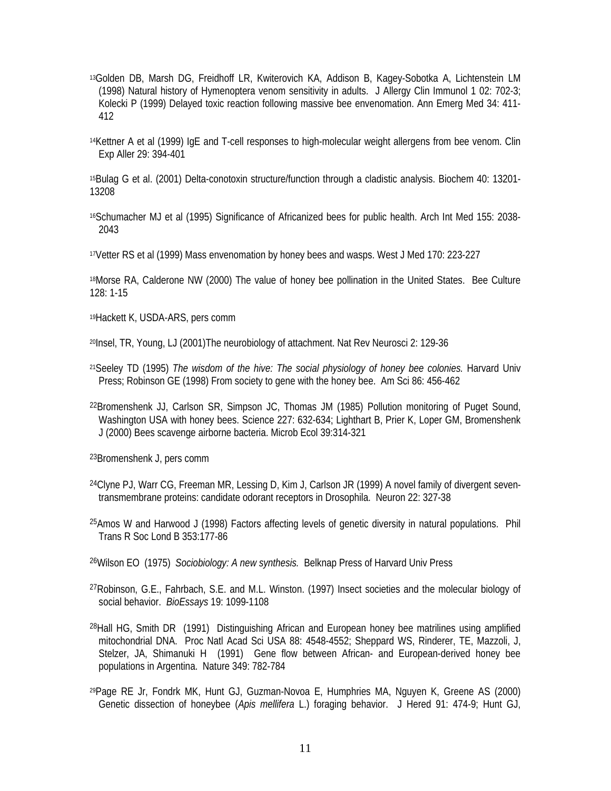- 13Golden DB, Marsh DG, Freidhoff LR, Kwiterovich KA, Addison B, Kagey-Sobotka A, Lichtenstein LM (1998) Natural history of Hymenoptera venom sensitivity in adults. J Allergy Clin Immunol 1 02: 702-3; Kolecki P (1999) Delayed toxic reaction following massive bee envenomation. Ann Emerg Med 34: 411- 412
- 14Kettner A et al (1999) IgE and T-cell responses to high-molecular weight allergens from bee venom. Clin Exp Aller 29: 394-401

15Bulag G et al. (2001) Delta-conotoxin structure/function through a cladistic analysis. Biochem 40: 13201- 13208

16Schumacher MJ et al (1995) Significance of Africanized bees for public health. Arch Int Med 155: 2038- 2043

17Vetter RS et al (1999) Mass envenomation by honey bees and wasps. West J Med 170: 223-227

18Morse RA, Calderone NW (2000) The value of honey bee pollination in the United States. Bee Culture 128: 1-15

19Hackett K, USDA-ARS, pers comm

20Insel, TR, Young, LJ (2001)The neurobiology of attachment. Nat Rev Neurosci 2: 129-36

- 21Seeley TD (1995) *The wisdom of the hive: The social physiology of honey bee colonies.* Harvard Univ Press; Robinson GE (1998) From society to gene with the honey bee. Am Sci 86: 456-462
- 22Bromenshenk JJ, Carlson SR, Simpson JC, Thomas JM (1985) Pollution monitoring of Puget Sound, Washington USA with honey bees. Science 227: 632-634; Lighthart B, Prier K, Loper GM, Bromenshenk J (2000) Bees scavenge airborne bacteria. Microb Ecol 39:314-321

23Bromenshenk J, pers comm

- 24Clyne PJ, Warr CG, Freeman MR, Lessing D, Kim J, Carlson JR (1999) A novel family of divergent seventransmembrane proteins: candidate odorant receptors in Drosophila. Neuron 22: 327-38
- 25Amos W and Harwood J (1998) Factors affecting levels of genetic diversity in natural populations. Phil Trans R Soc Lond B 353:177-86

26Wilson EO (1975) *Sociobiology: A new synthesis.* Belknap Press of Harvard Univ Press

- 27Robinson, G.E., Fahrbach, S.E. and M.L. Winston. (1997) Insect societies and the molecular biology of social behavior. *BioEssays* 19: 1099-1108
- 28Hall HG, Smith DR (1991) Distinguishing African and European honey bee matrilines using amplified mitochondrial DNA. Proc Natl Acad Sci USA 88: 4548-4552; Sheppard WS, Rinderer, TE, Mazzoli, J, Stelzer, JA, Shimanuki H (1991) Gene flow between African- and European-derived honey bee populations in Argentina. Nature 349: 782-784
- 29Page RE Jr, Fondrk MK, Hunt GJ, Guzman-Novoa E, Humphries MA, Nguyen K, Greene AS (2000) Genetic dissection of honeybee (*Apis mellifera* L.) foraging behavior. J Hered 91: 474-9; Hunt GJ,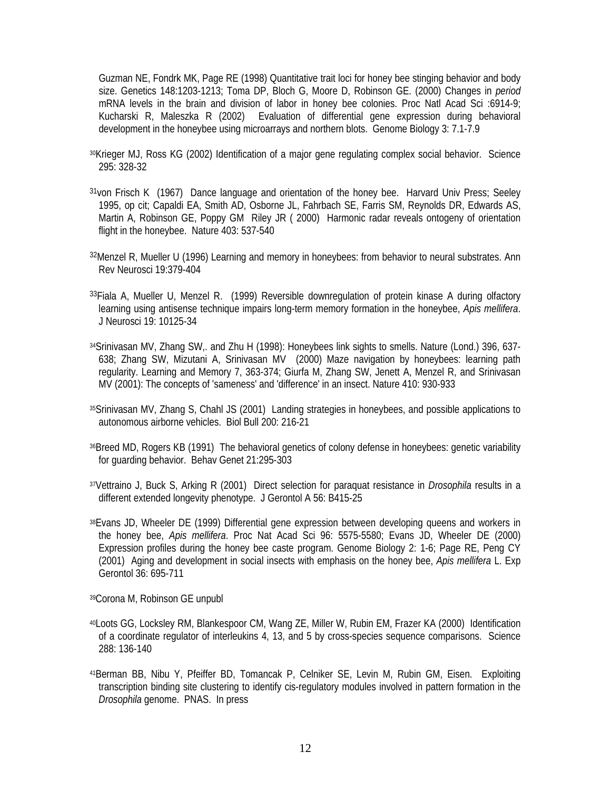Guzman NE, Fondrk MK, Page RE (1998) Quantitative trait loci for honey bee stinging behavior and body size. Genetics 148:1203-1213; Toma DP, Bloch G, Moore D, Robinson GE. (2000) Changes in *period* mRNA levels in the brain and division of labor in honey bee colonies. Proc Natl Acad Sci :6914-9; Kucharski R, Maleszka R (2002) Evaluation of differential gene expression during behavioral development in the honeybee using microarrays and northern blots. Genome Biology 3: 7.1-7.9

- 30Krieger MJ, Ross KG (2002) Identification of a major gene regulating complex social behavior. Science 295: 328-32
- <sup>31</sup> von Frisch K (1967) Dance language and orientation of the honey bee. Harvard Univ Press; Seeley 1995, op cit; Capaldi EA, Smith AD, Osborne JL, Fahrbach SE, Farris SM, Reynolds DR, Edwards AS, Martin A, Robinson GE, Poppy GM Riley JR ( 2000) Harmonic radar reveals ontogeny of orientation flight in the honeybee. Nature 403: 537-540
- 32Menzel R, Mueller U (1996) Learning and memory in honeybees: from behavior to neural substrates. Ann Rev Neurosci 19:379-404
- 33Fiala A, Mueller U, Menzel R. (1999) Reversible downregulation of protein kinase A during olfactory learning using antisense technique impairs long-term memory formation in the honeybee, *Apis mellifera*. J Neurosci 19: 10125-34
- 34 Srinivasan MV, Zhang SW, and Zhu H (1998): Honeybees link sights to smells. Nature (Lond.) 396, 637-638; Zhang SW, Mizutani A, Srinivasan MV (2000) Maze navigation by honeybees: learning path regularity. Learning and Memory 7, 363-374; Giurfa M, Zhang SW, Jenett A, Menzel R, and Srinivasan MV (2001): The concepts of 'sameness' and 'difference' in an insect. Nature 410: 930-933
- 35Srinivasan MV, Zhang S, Chahl JS (2001) Landing strategies in honeybees, and possible applications to autonomous airborne vehicles. Biol Bull 200: 216-21
- 36Breed MD, Rogers KB (1991) The behavioral genetics of colony defense in honeybees: genetic variability for guarding behavior. Behav Genet 21:295-303
- 37Vettraino J, Buck S, Arking R (2001) Direct selection for paraquat resistance in *Drosophila* results in a different extended longevity phenotype. J Gerontol A 56: B415-25
- 38Evans JD, Wheeler DE (1999) Differential gene expression between developing queens and workers in the honey bee, *Apis mellifera*. Proc Nat Acad Sci 96: 5575-5580; Evans JD, Wheeler DE (2000) Expression profiles during the honey bee caste program. Genome Biology 2: 1-6; Page RE, Peng CY (2001) Aging and development in social insects with emphasis on the honey bee, *Apis mellifera* L. Exp Gerontol 36: 695-711

39Corona M, Robinson GE unpubl

- 40Loots GG, Locksley RM, Blankespoor CM, Wang ZE, Miller W, Rubin EM, Frazer KA (2000) Identification of a coordinate regulator of interleukins 4, 13, and 5 by cross-species sequence comparisons. Science 288: 136-140
- 41Berman BB, Nibu Y, Pfeiffer BD, Tomancak P, Celniker SE, Levin M, Rubin GM, Eisen. Exploiting transcription binding site clustering to identify cis-regulatory modules involved in pattern formation in the *Drosophila* genome. PNAS. In press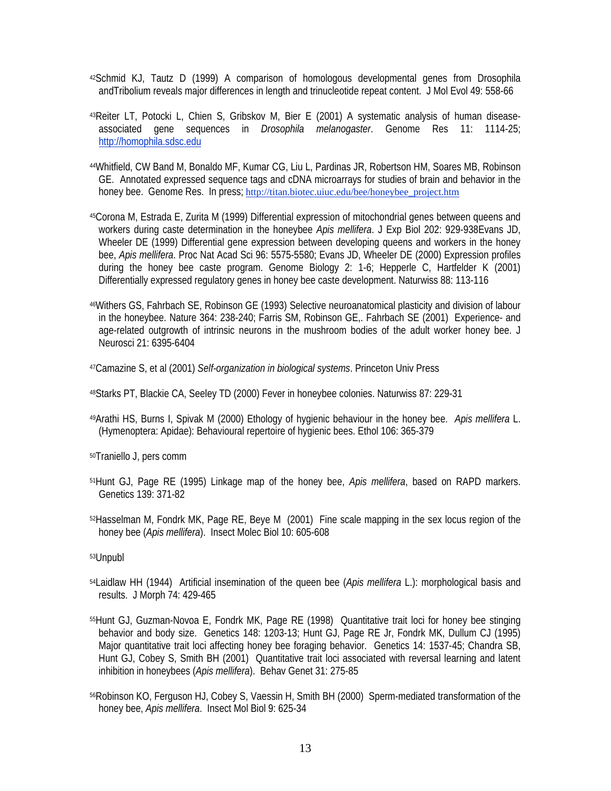- 42Schmid KJ, Tautz D (1999) A comparison of homologous developmental genes from Drosophila andTribolium reveals major differences in length and trinucleotide repeat content. J Mol Evol 49: 558-66
- 43Reiter LT, Potocki L, Chien S, Gribskov M, Bier E (2001) A systematic analysis of human diseaseassociated gene sequences in *Drosophila melanogaster*. Genome Res 11: 1114-25; [http://homophila.sdsc.edu](http://homophila.sdsc.edu/)
- 44Whitfield, CW Band M, Bonaldo MF, Kumar CG, Liu L, Pardinas JR, Robertson HM, Soares MB, Robinson GE. Annotated expressed sequence tags and cDNA microarrays for studies of brain and behavior in the honey bee. Genome Res. In press; [http://titan.biotec.uiuc.edu/bee/honeybee\\_project.htm](http://titan.biotec.uiuc.edu/bee/honeybee_project.htm)
- 45Corona M, Estrada E, Zurita M (1999) Differential expression of mitochondrial genes between queens and workers during caste determination in the honeybee *Apis mellifera*. J Exp Biol 202: 929-938Evans JD, Wheeler DE (1999) Differential gene expression between developing queens and workers in the honey bee, *Apis mellifera*. Proc Nat Acad Sci 96: 5575-5580; Evans JD, Wheeler DE (2000) Expression profiles during the honey bee caste program. Genome Biology 2: 1-6; Hepperle C, Hartfelder K (2001) Differentially expressed regulatory genes in honey bee caste development. Naturwiss 88: 113-116
- 46Withers GS, Fahrbach SE, Robinson GE (1993) Selective neuroanatomical plasticity and division of labour in the honeybee. Nature 364: 238-240; Farris SM, Robinson GE,. Fahrbach SE (2001) Experience- and age-related outgrowth of intrinsic neurons in the mushroom bodies of the adult worker honey bee. J Neurosci 21: 6395-6404
- 47Camazine S, et al (2001) *Self-organization in biological systems*. Princeton Univ Press
- 48Starks PT, Blackie CA, Seeley TD (2000) Fever in honeybee colonies. Naturwiss 87: 229-31
- 49Arathi HS, Burns I, Spivak M (2000) Ethology of hygienic behaviour in the honey bee. *Apis mellifera* L. (Hymenoptera: Apidae): Behavioural repertoire of hygienic bees. Ethol 106: 365-379
- 50Traniello J, pers comm
- 51Hunt GJ, Page RE (1995) Linkage map of the honey bee, *Apis mellifera*, based on RAPD markers. Genetics 139: 371-82
- 52Hasselman M, Fondrk MK, Page RE, Beye M (2001) Fine scale mapping in the sex locus region of the honey bee (*Apis mellifera*). Insect Molec Biol 10: 605-608

53Unpubl

- 54Laidlaw HH (1944) Artificial insemination of the queen bee (*Apis mellifera* L.): morphological basis and results. J Morph 74: 429-465
- 55Hunt GJ, Guzman-Novoa E, Fondrk MK, Page RE (1998) Quantitative trait loci for honey bee stinging behavior and body size. Genetics 148: 1203-13; Hunt GJ, Page RE Jr, Fondrk MK, Dullum CJ (1995) Major quantitative trait loci affecting honey bee foraging behavior. Genetics 14: 1537-45; Chandra SB, Hunt GJ, Cobey S, Smith BH (2001) Quantitative trait loci associated with reversal learning and latent inhibition in honeybees (*Apis mellifera*). Behav Genet 31: 275-85
- 56Robinson KO, Ferguson HJ, Cobey S, Vaessin H, Smith BH (2000) Sperm-mediated transformation of the honey bee, *Apis mellifera*. Insect Mol Biol 9: 625-34